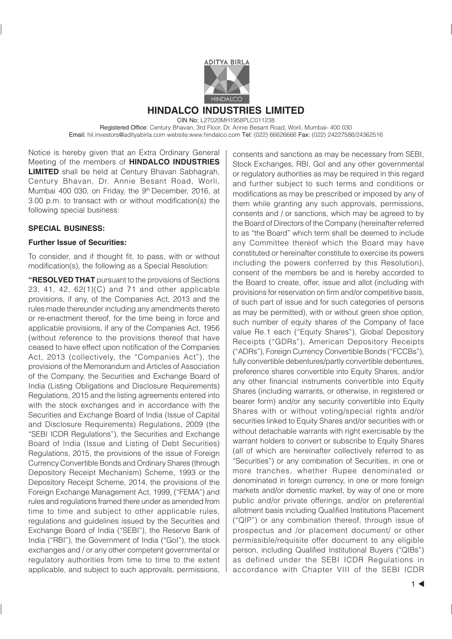

### **HINDALCO INDUSTRIES LIMITED** CIN No: L27020MH1958PLC011238

Registered Office: Century Bhavan, 3rd Floor, Dr. Annie Besant Road, Worli, Mumbai- 400 030 Email: hil.investors@adityabirla.com website:www.hindalco.com Tel: (022) 66626666 Fax: (022) 24227586/24362516

Notice is hereby given that an Extra Ordinary General Meeting of the members of **HINDALCO INDUSTRIES LIMITED** shall be held at Century Bhavan Sabhagrah, Century Bhavan, Dr. Annie Besant Road, Worli, Mumbai 400 030, on Friday, the 9<sup>th</sup> December, 2016, at 3.00 p.m. to transact with or without modification(s) the following special business:

## **SPECIAL BUSINESS:**

### **Further Issue of Securities:**

To consider, and if thought fit, to pass, with or without modification(s), the following as a Special Resolution:

**"RESOLVED THAT** pursuant to the provisions of Sections 23, 41, 42, 62(1)(C) and 71 and other applicable provisions, if any, of the Companies Act, 2013 and the rules made thereunder including any amendments thereto or re-enactment thereof, for the time being in force and applicable provisions, if any of the Companies Act, 1956 (without reference to the provisions thereof that have ceased to have effect upon notification of the Companies Act, 2013 (collectively, the "Companies Act"), the provisions of the Memorandum and Articles of Association of the Company, the Securities and Exchange Board of India (Listing Obligations and Disclosure Requirements) Regulations, 2015 and the listing agreements entered into with the stock exchanges and in accordance with the Securities and Exchange Board of India (Issue of Capital and Disclosure Requirements) Regulations, 2009 (the "SEBI ICDR Regulations"), the Securities and Exchange Board of India (Issue and Listing of Debt Securities) Regulations, 2015, the provisions of the issue of Foreign Currency Convertible Bonds and Ordinary Shares (through Depository Receipt Mechanism) Scheme, 1993 or the Depository Receipt Scheme, 2014, the provisions of the Foreign Exchange Management Act, 1999, ("FEMA") and rules and regulations framed there under as amended from time to time and subject to other applicable rules, regulations and guidelines issued by the Securities and Exchange Board of India ("SEBI"), the Reserve Bank of India ("RBI"), the Government of India ("GoI"), the stock exchanges and / or any other competent governmental or regulatory authorities from time to time to the extent applicable, and subject to such approvals, permissions,

consents and sanctions as may be necessary from SEBI, Stock Exchanges, RBI, GoI and any other governmental or regulatory authorities as may be required in this regard and further subject to such terms and conditions or modifications as may be prescribed or imposed by any of them while granting any such approvals, permissions, consents and / or sanctions, which may be agreed to by the Board of Directors of the Company (hereinafter referred to as "the Board" which term shall be deemed to include any Committee thereof which the Board may have constituted or hereinafter constitute to exercise its powers including the powers conferred by this Resolution), consent of the members be and is hereby accorded to the Board to create, offer, issue and allot (including with provisions for reservation on firm and/or competitive basis, of such part of issue and for such categories of persons as may be permitted), with or without green shoe option, such number of equity shares of the Company of face value Re.1 each ("Equity Shares"), Global Depository Receipts ("GDRs"), American Depository Receipts ("ADRs"), Foreign Currency Convertible Bonds ("FCCBs"), fully convertible debentures/partly convertible debentures, preference shares convertible into Equity Shares, and/or any other financial instruments convertible into Equity Shares (including warrants, or otherwise, in registered or bearer form) and/or any security convertible into Equity Shares with or without voting/special rights and/or securities linked to Equity Shares and/or securities with or without detachable warrants with right exercisable by the warrant holders to convert or subscribe to Equity Shares (all of which are hereinafter collectively referred to as "Securities") or any combination of Securities, in one or more tranches, whether Rupee denominated or denominated in foreign currency, in one or more foreign markets and/or domestic market, by way of one or more public and/or private offerings, and/or on preferential allotment basis including Qualified Institutions Placement ("QIP") or any combination thereof, through issue of prospectus and /or placement document/ or other permissible/requisite offer document to any eligible person, including Qualified Institutional Buyers ("QIBs") as defined under the SEBI ICDR Regulations in accordance with Chapter VIII of the SEBI ICDR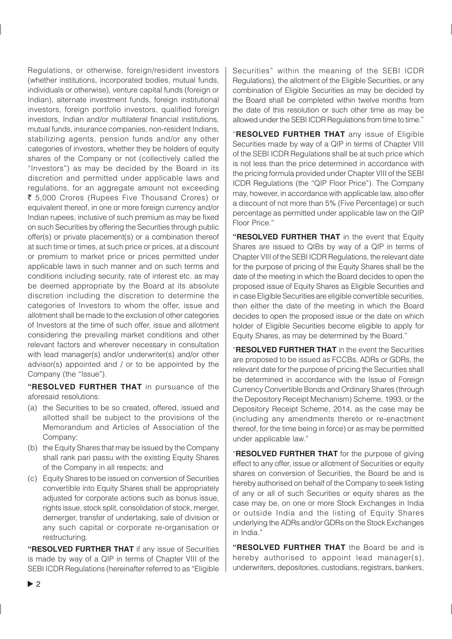Regulations, or otherwise, foreign/resident investors (whether institutions, incorporated bodies, mutual funds, individuals or otherwise), venture capital funds (foreign or Indian), alternate investment funds, foreign institutional investors, foreign portfolio investors, qualified foreign investors, Indian and/or multilateral financial institutions, mutual funds, insurance companies, non-resident Indians, stabilizing agents, pension funds and/or any other categories of investors, whether they be holders of equity shares of the Company or not (collectively called the "Investors") as may be decided by the Board in its discretion and permitted under applicable laws and regulations, for an aggregate amount not exceeding ₹ 5,000 Crores (Rupees Five Thousand Crores) or equivalent thereof, in one or more foreign currency and/or Indian rupees, inclusive of such premium as may be fixed on such Securities by offering the Securities through public offer(s) or private placement(s) or a combination thereof at such time or times, at such price or prices, at a discount or premium to market price or prices permitted under applicable laws in such manner and on such terms and conditions including security, rate of interest etc. as may be deemed appropriate by the Board at its absolute discretion including the discretion to determine the categories of Investors to whom the offer, issue and allotment shall be made to the exclusion of other categories of Investors at the time of such offer, issue and allotment considering the prevailing market conditions and other relevant factors and wherever necessary in consultation with lead manager(s) and/or underwriter(s) and/or other advisor(s) appointed and / or to be appointed by the Company (the "Issue").

**"RESOLVED FURTHER THAT** in pursuance of the aforesaid resolutions:

- (a) the Securities to be so created, offered, issued and allotted shall be subject to the provisions of the Memorandum and Articles of Association of the Company;
- (b) the Equity Shares that may be issued by the Company shall rank pari passu with the existing Equity Shares of the Company in all respects; and
- (c) Equity Shares to be issued on conversion of Securities convertible into Equity Shares shall be appropriately adjusted for corporate actions such as bonus issue, rights issue, stock split, consolidation of stock, merger, demerger, transfer of undertaking, sale of division or any such capital or corporate re-organisation or restructuring.

**"RESOLVED FURTHER THAT** if any issue of Securities is made by way of a QIP in terms of Chapter VIII of the SEBI ICDR Regulations (hereinafter referred to as "Eligible Securities" within the meaning of the SEBI ICDR Regulations), the allotment of the Eligible Securities, or any combination of Eligible Securities as may be decided by the Board shall be completed within twelve months from the date of this resolution or such other time as may be allowed under the SEBI ICDR Regulations from time to time."

"**RESOLVED FURTHER THAT** any issue of Eligible Securities made by way of a QIP in terms of Chapter VIII of the SEBI ICDR Regulations shall be at such price which is not less than the price determined in accordance with the pricing formula provided under Chapter VIII of the SEBI ICDR Regulations (the "QIP Floor Price"). The Company may, however, in accordance with applicable law, also offer a discount of not more than 5% (Five Percentage) or such percentage as permitted under applicable law on the QIP Floor Price."

**"RESOLVED FURTHER THAT** in the event that Equity Shares are issued to QIBs by way of a QIP in terms of Chapter VIII of the SEBI ICDR Regulations, the relevant date for the purpose of pricing of the Equity Shares shall be the date of the meeting in which the Board decides to open the proposed issue of Equity Shares as Eligible Securities and in case Eligible Securities are eligible convertible securities, then either the date of the meeting in which the Board decides to open the proposed issue or the date on which holder of Eligible Securities become eligible to apply for Equity Shares, as may be determined by the Board."

"**RESOLVED FURTHER THAT** in the event the Securities are proposed to be issued as FCCBs, ADRs or GDRs, the relevant date for the purpose of pricing the Securities shall be determined in accordance with the Issue of Foreign Currency Convertible Bonds and Ordinary Shares (through the Depository Receipt Mechanism) Scheme, 1993, or the Depository Receipt Scheme, 2014, as the case may be (including any amendments thereto or re-enactment thereof, for the time being in force) or as may be permitted under applicable law."

"**RESOLVED FURTHER THAT** for the purpose of giving effect to any offer, issue or allotment of Securities or equity shares on conversion of Securities, the Board be and is hereby authorised on behalf of the Company to seek listing of any or all of such Securities or equity shares as the case may be, on one or more Stock Exchanges in India or outside India and the listing of Equity Shares underlying the ADRs and/or GDRs on the Stock Exchanges in India."

**"RESOLVED FURTHER THAT** the Board be and is hereby authorised to appoint lead manager(s), underwriters, depositories, custodians, registrars, bankers,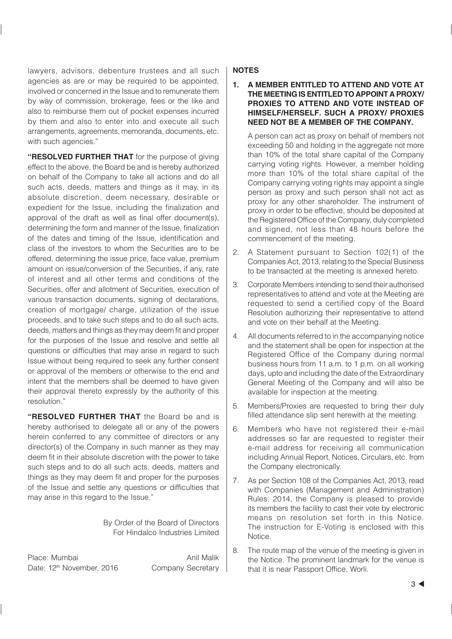lawyers, advisors, debenture trustees and all such agencies as are or may be required to be appointed, involved or concerned in the Issue and to remunerate them by way of commission, brokerage, fees or the like and also to reimburse them out of pocket expenses incurred by them and also to enter into and execute all such arrangements, agreements, memoranda, documents, etc. with such agencies."

**"RESOLVED FURTHER THAT** for the purpose of giving effect to the above, the Board be and is hereby authorized on behalf of the Company to take all actions and do all such acts, deeds, matters and things as it may, in its absolute discretion, deem necessary, desirable or expedient for the Issue, including the finalization and approval of the draft as well as final offer document(s), determining the form and manner of the Issue, finalization of the dates and timing of the Issue, identification and class of the investors to whom the Securities are to be offered, determining the issue price, face value, premium amount on issue/conversion of the Securities, if any, rate of interest and all other terms and conditions of the Securities, offer and allotment of Securities, execution of various transaction documents, signing of declarations, creation of mortgage/ charge, utilization of the issue proceeds, and to take such steps and to do all such acts, deeds, matters and things as they may deem fit and proper for the purposes of the Issue and resolve and settle all questions or difficulties that may arise in regard to such Issue without being required to seek any further consent or approval of the members or otherwise to the end and intent that the members shall be deemed to have given their approval thereto expressly by the authority of this resolution."

**"RESOLVED FURTHER THAT** the Board be and is hereby authorised to delegate all or any of the powers herein conferred to any committee of directors or any director(s) of the Company in such manner as they may deem fit in their absolute discretion with the power to take such steps and to do all such acts, deeds, matters and things as they may deem fit and proper for the purposes of the Issue and settle any questions or difficulties that may arise in this regard to the Issue."

> By Order of the Board of Directors For Hindalco Industries Limited

Place: Mumbai Anil Malik Date: 12<sup>th</sup> November, 2016 Company Secretary

### **NOTES**

**1. A MEMBER ENTITLED TO ATTEND AND VOTE AT THE MEETING IS ENTITLED TO APPOINT A PROXY/ PROXIES TO ATTEND AND VOTE INSTEAD OF HIMSELF/HERSELF. SUCH A PROXY/ PROXIES NEED NOT BE A MEMBER OF THE COMPANY.**

A person can act as proxy on behalf of members not exceeding 50 and holding in the aggregate not more than 10% of the total share capital of the Company carrying voting rights. However, a member holding more than 10% of the total share capital of the Company carrying voting rights may appoint a single person as proxy and such person shall not act as proxy for any other shareholder. The instrument of proxy in order to be effective, should be deposited at the Registered Office of the Company, duly completed and signed, not less than 48 hours before the commencement of the meeting.

- 2. A Statement pursuant to Section 102(1) of the Companies Act, 2013, relating to the Special Business to be transacted at the meeting is annexed hereto.
- 3. Corporate Members intending to send their authorised representatives to attend and vote at the Meeting are requested to send a certified copy of the Board Resolution authorizing their representative to attend and vote on their behalf at the Meeting.
- 4. All documents referred to in the accompanying notice and the statement shall be open for inspection at the Registered Office of the Company during normal business hours from 11 a.m. to 1 p.m. on all working days, upto and including the date of the Extraordinary General Meeting of the Company and will also be available for inspection at the meeting.
- 5. Members/Proxies are requested to bring their duly filled attendance slip sent herewith at the meeting.
- 6. Members who have not registered their e-mail addresses so far are requested to register their e-mail address for receiving all communication including Annual Report, Notices, Circulars, etc. from the Company electronically.
- 7. As per Section 108 of the Companies Act, 2013, read with Companies (Management and Administration) Rules, 2014, the Company is pleased to provide its members the facility to cast their vote by electronic means on resolution set forth in this Notice. The instruction for E-Voting is enclosed with this Notice.
- 8. The route map of the venue of the meeting is given in the Notice. The prominent landmark for the venue is that it is near Passport Office, Worli.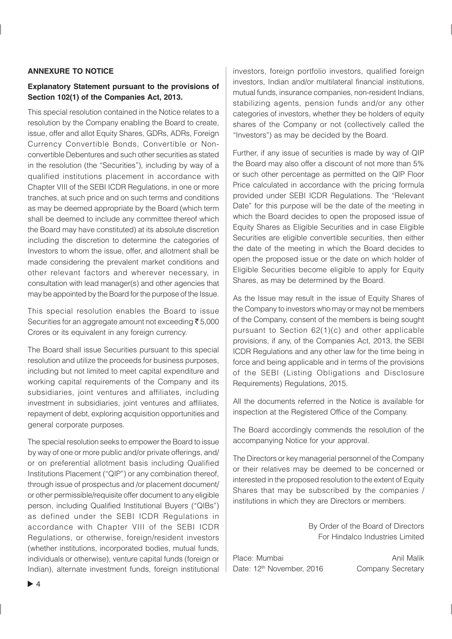### **ANNEXURE TO NOTICE**

### **Explanatory Statement pursuant to the provisions of Section 102(1) of the Companies Act, 2013.**

This special resolution contained in the Notice relates to a resolution by the Company enabling the Board to create, issue, offer and allot Equity Shares, GDRs, ADRs, Foreign Currency Convertible Bonds, Convertible or Nonconvertible Debentures and such other securities as stated in the resolution (the "Securities"), including by way of a qualified institutions placement in accordance with Chapter VIII of the SEBI ICDR Regulations, in one or more tranches, at such price and on such terms and conditions as may be deemed appropriate by the Board (which term shall be deemed to include any committee thereof which the Board may have constituted) at its absolute discretion including the discretion to determine the categories of Investors to whom the issue, offer, and allotment shall be made considering the prevalent market conditions and other relevant factors and wherever necessary, in consultation with lead manager(s) and other agencies that may be appointed by the Board for the purpose of the Issue.

This special resolution enables the Board to issue Securities for an aggregate amount not exceeding  $\bar{\tau}$  5,000 Crores or its equivalent in any foreign currency.

The Board shall issue Securities pursuant to this special resolution and utilize the proceeds for business purposes, including but not limited to meet capital expenditure and working capital requirements of the Company and its subsidiaries, joint ventures and affiliates, including investment in subsidiaries, joint ventures and affiliates, repayment of debt, exploring acquisition opportunities and general corporate purposes.

The special resolution seeks to empower the Board to issue by way of one or more public and/or private offerings, and/ or on preferential allotment basis including Qualified Institutions Placement ("QIP") or any combination thereof, through issue of prospectus and /or placement document/ or other permissible/requisite offer document to any eligible person, including Qualified Institutional Buyers ("QIBs") as defined under the SEBI ICDR Regulations in accordance with Chapter VIII of the SEBI ICDR Regulations, or otherwise, foreign/resident investors (whether institutions, incorporated bodies, mutual funds, individuals or otherwise), venture capital funds (foreign or Indian), alternate investment funds, foreign institutional investors, foreign portfolio investors, qualified foreign investors, Indian and/or multilateral financial institutions, mutual funds, insurance companies, non-resident Indians, stabilizing agents, pension funds and/or any other categories of investors, whether they be holders of equity shares of the Company or not (collectively called the "Investors") as may be decided by the Board.

Further, if any issue of securities is made by way of QIP the Board may also offer a discount of not more than 5% or such other percentage as permitted on the QIP Floor Price calculated in accordance with the pricing formula provided under SEBI ICDR Regulations. The "Relevant Date" for this purpose will be the date of the meeting in which the Board decides to open the proposed issue of Equity Shares as Eligible Securities and in case Eligible Securities are eligible convertible securities, then either the date of the meeting in which the Board decides to open the proposed issue or the date on which holder of Eligible Securities become eligible to apply for Equity Shares, as may be determined by the Board.

As the Issue may result in the issue of Equity Shares of the Company to investors who may or may not be members of the Company, consent of the members is being sought pursuant to Section 62(1)(c) and other applicable provisions, if any, of the Companies Act, 2013, the SEBI ICDR Regulations and any other law for the time being in force and being applicable and in terms of the provisions of the SEBI (Listing Obligations and Disclosure Requirements) Regulations, 2015.

All the documents referred in the Notice is available for inspection at the Registered Office of the Company.

The Board accordingly commends the resolution of the accompanying Notice for your approval.

The Directors or key managerial personnel of the Company or their relatives may be deemed to be concerned or interested in the proposed resolution to the extent of Equity Shares that may be subscribed by the companies / institutions in which they are Directors or members.

> By Order of the Board of Directors For Hindalco Industries Limited

Place: Mumbai **Anil Malik** Anil Malik Date: 12<sup>th</sup> November, 2016 Company Secretary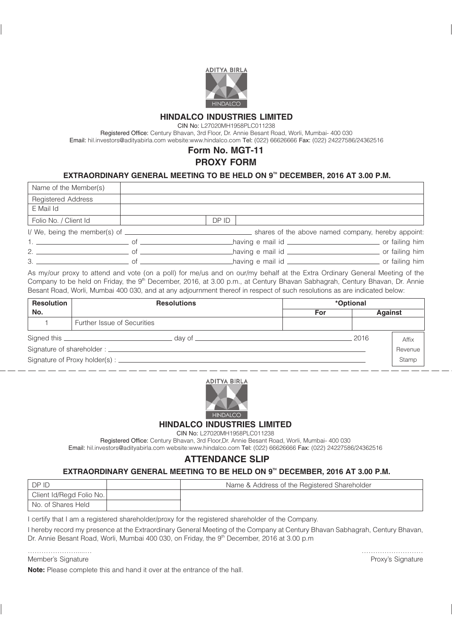

## **HINDALCO INDUSTRIES LIMITED**

CIN No: L27020MH1958PLC011238

Registered Office: Century Bhavan, 3rd Floor, Dr. Annie Besant Road, Worli, Mumbai- 400 030 Email: hil.investors@adityabirla.com website:www.hindalco.com Tel: (022) 66626666 Fax: (022) 24227586/24362516

# **Form No. MGT-11**

## **PROXY FORM**

### EXTRAORDINARY GENERAL MEETING TO BE HELD ON 9<sup>TH</sup> DECEMBER, 2016 AT 3.00 P.M.

| Name of the Member(s)                   |                                                                   |                                                                   |  |  |
|-----------------------------------------|-------------------------------------------------------------------|-------------------------------------------------------------------|--|--|
| <b>Registered Address</b>               |                                                                   |                                                                   |  |  |
| E Mail Id                               |                                                                   |                                                                   |  |  |
| Folio No. / Client Id                   |                                                                   | DP ID                                                             |  |  |
|                                         |                                                                   |                                                                   |  |  |
|                                         | having e mail id _________________________________ or failing him |                                                                   |  |  |
| $2.$ $\qquad \qquad$ of $\qquad \qquad$ |                                                                   |                                                                   |  |  |
|                                         |                                                                   | having e mail id _________________________________ or failing him |  |  |

As my/our proxy to attend and vote (on a poll) for me/us and on our/my behalf at the Extra Ordinary General Meeting of the Company to be held on Friday, the 9<sup>th</sup> December, 2016, at 3.00 p.m., at Century Bhavan Sabhagrah, Century Bhavan, Dr. Annie Besant Road, Worli, Mumbai 400 030, and at any adjournment thereof in respect of such resolutions as are indicated below:

| <b>Resolution</b> | <b>Resolutions</b>          | *Optional |                |       |  |
|-------------------|-----------------------------|-----------|----------------|-------|--|
| No.               |                             | For       | <b>Against</b> |       |  |
|                   | Further Issue of Securities |           |                |       |  |
|                   | day of _______________      |           | 2016           | Affix |  |
|                   |                             |           | Revenue        |       |  |
|                   |                             |           |                | Stamp |  |





### **HINDALCO INDUSTRIES LIMITED**

#### CIN No: L27020MH1958PLC011238

Registered Office: Century Bhavan, 3rd Floor,Dr. Annie Besant Road, Worli, Mumbai- 400 030 Email: hil.investors@adityabirla.com website:www.hindalco.com Tel: (022) 66626666 Fax: (022) 24227586/24362516

## **ATTENDANCE SLIP**

### EXTRAORDINARY GENERAL MEETING TO BE HELD ON 9<sup>TH</sup> DECEMBER, 2016 AT 3.00 P.M.

| IDPID                    | Name & Address of the Registered Shareholder |
|--------------------------|----------------------------------------------|
| Client Id/Regd Folio No. |                                              |
| I No. of Shares Held     |                                              |

I certify that I am a registered shareholder/proxy for the registered shareholder of the Company.

I hereby record my presence at the Extraordinary General Meeting of the Company at Century Bhavan Sabhagrah, Century Bhavan, Dr. Annie Besant Road, Worli, Mumbai 400 030, on Friday, the 9<sup>th</sup> December, 2016 at 3.00 p.m

………………….....… ……………………… Member's Signature **Proxy's Signature** Proxy's Signature

**Note:** Please complete this and hand it over at the entrance of the hall.